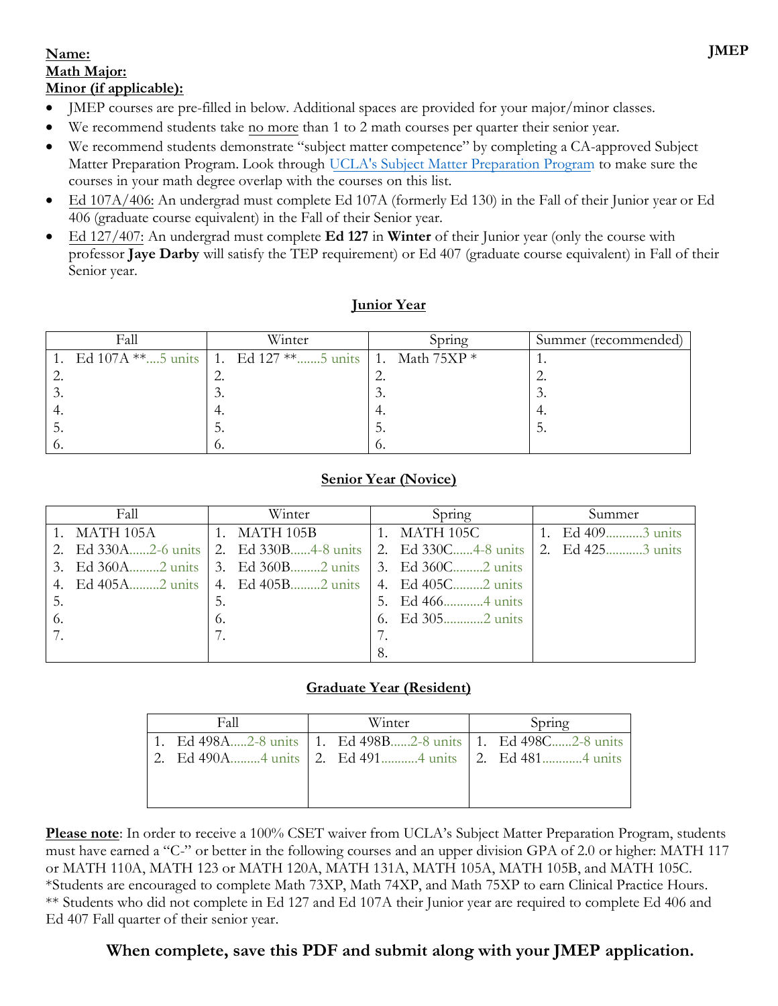### **Name: Math Major: Minor (if applicable):**

- JMEP courses are pre-filled in below. Additional spaces are provided for your major/minor classes.
- We recommend students take no more than 1 to 2 math courses per quarter their senior year.
- We recommend students demonstrate "subject matter competence" by completing a CA-approved Subject Matter Preparation Program. Look through [UCLA's Subject Matter Preparation Program](https://curtiscenter.math.ucla.edu/wp-content/uploads/2019/11/Subject-Matter-Program-11.18.19.pdf) to make sure the courses in your math degree overlap with the courses on this list.
- Ed 107A/406: An undergrad must complete Ed 107A (formerly Ed 130) in the Fall of their Junior year or Ed 406 (graduate course equivalent) in the Fall of their Senior year.
- Ed 127/407: An undergrad must complete **Ed 127** in **Winter** of their Junior year (only the course with professor **Jaye Darby** will satisfy the TEP requirement) or Ed 407 (graduate course equivalent) in Fall of their Senior year.

| unior 1 | еяю |
|---------|-----|
|         |     |

|   | Fall | Winter                                                   | Spring | Summer (recommended) |
|---|------|----------------------------------------------------------|--------|----------------------|
|   |      | 1. Ed 107A **5 units 1. Ed 127 **5 units 1. Math $75XP*$ |        |                      |
|   |      |                                                          |        |                      |
| . |      | .                                                        | .      | .                    |
|   |      |                                                          | 4.     | ٠.                   |
|   |      | D.                                                       | J.     |                      |
|   |      | 0.                                                       | v.     |                      |

## **Senior Year (Novice)**

| Fall         | Winter                                                                       | Spring | Summer              |
|--------------|------------------------------------------------------------------------------|--------|---------------------|
| 1. MATH 105A | 1. MATH 105B $\vert$ 1. MATH 105C                                            |        | 1. Ed $409$ 3 units |
|              | 2. Ed 330A2-6 units 2. Ed 330B4-8 units 2. Ed 330C4-8 units 2. Ed 4253 units |        |                     |
|              | 3. Ed 360A2 units 3. Ed 360B2 units 3. Ed 360C2 units                        |        |                     |
|              | 4. Ed 405A2 units   4. Ed 405B2 units   4. Ed 405C2 units                    |        |                     |
| 5.           | 5.                                                                           |        |                     |
| 6.           | 6.                                                                           |        |                     |
|              |                                                                              |        |                     |
|              |                                                                              | 8.     |                     |

# **Graduate Year (Resident)**

| Fall                                                        | Winter | Spring |  |
|-------------------------------------------------------------|--------|--------|--|
| 1. Ed 498A2-8 units 1. Ed 498B2-8 units 1. Ed 498C2-8 units |        |        |  |
| 2. Ed 490A4 units 2. Ed 4914 units 2. Ed 4814 units         |        |        |  |
|                                                             |        |        |  |
|                                                             |        |        |  |

**Please note**: In order to receive a 100% CSET waiver from UCLA's Subject Matter Preparation Program, students must have earned a "C-" or better in the following courses and an upper division GPA of 2.0 or higher: MATH 117 or MATH 110A, MATH 123 or MATH 120A, MATH 131A, MATH 105A, MATH 105B, and MATH 105C. \*Students are encouraged to complete Math 73XP, Math 74XP, and Math 75XP to earn Clinical Practice Hours. \*\* Students who did not complete in Ed 127 and Ed 107A their Junior year are required to complete Ed 406 and Ed 407 Fall quarter of their senior year.

# **When complete, save this PDF and submit along with your JMEP application.**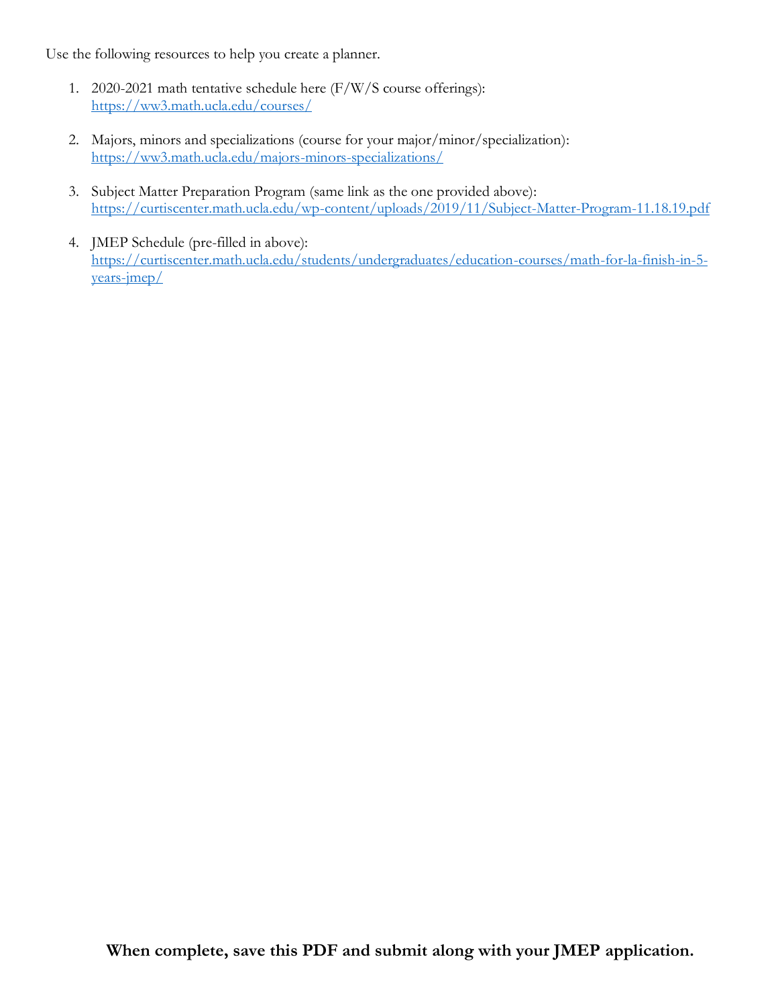Use the following resources to help you create a planner.

- 1. 2020-2021 math tentative schedule here (F/W/S course offerings): <https://ww3.math.ucla.edu/courses/>
- 2. Majors, minors and specializations (course for your major/minor/specialization): <https://ww3.math.ucla.edu/majors-minors-specializations/>
- 3. Subject Matter Preparation Program (same link as the one provided above): <https://curtiscenter.math.ucla.edu/wp-content/uploads/2019/11/Subject-Matter-Program-11.18.19.pdf>
- 4. JMEP Schedule (pre-filled in above): [https://curtiscenter.math.ucla.edu/students/undergraduates/education-courses/math-for-la-finish-in-5](https://curtiscenter.math.ucla.edu/students/undergraduates/education-courses/math-for-la-finish-in-5-years-jmep/) [years-jmep/](https://curtiscenter.math.ucla.edu/students/undergraduates/education-courses/math-for-la-finish-in-5-years-jmep/)